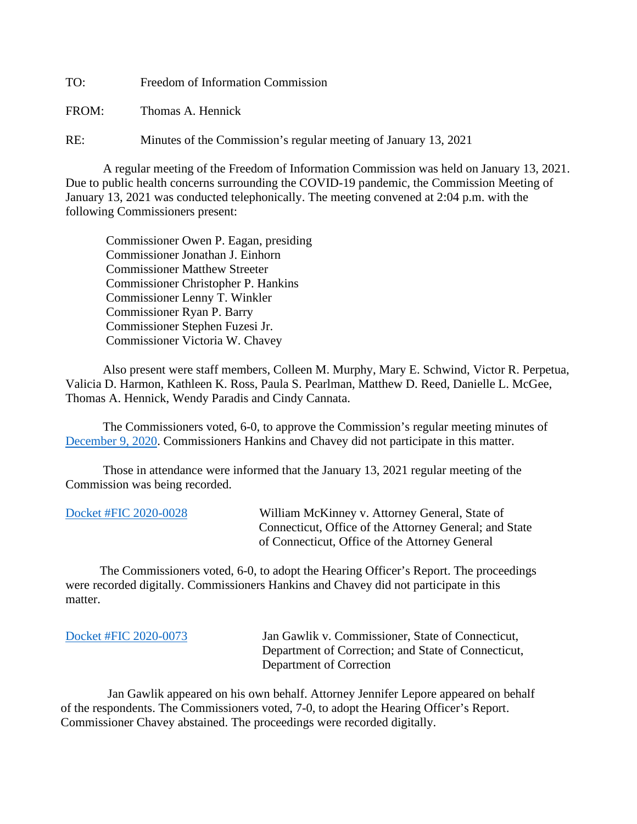TO: Freedom of Information Commission

FROM: Thomas A. Hennick

RE: Minutes of the Commission's regular meeting of January 13, 2021

A regular meeting of the Freedom of Information Commission was held on January 13, 2021. Due to public health concerns surrounding the COVID-19 pandemic, the Commission Meeting of January 13, 2021 was conducted telephonically. The meeting convened at 2:04 p.m. with the following Commissioners present:

 Commissioner Owen P. Eagan, presiding Commissioner Jonathan J. Einhorn Commissioner Matthew Streeter Commissioner Christopher P. Hankins Commissioner Lenny T. Winkler Commissioner Ryan P. Barry Commissioner Stephen Fuzesi Jr. Commissioner Victoria W. Chavey

Also present were staff members, Colleen M. Murphy, Mary E. Schwind, Victor R. Perpetua, Valicia D. Harmon, Kathleen K. Ross, Paula S. Pearlman, Matthew D. Reed, Danielle L. McGee, Thomas A. Hennick, Wendy Paradis and Cindy Cannata.

The Commissioners voted, 6-0, to approve the Commission's regular meeting minutes of [December 9, 2020.](https://portal.ct.gov/-/media/FOI/Minutes/2020/FOICMinutes-12-09-2020.pdf) Commissioners Hankins and Chavey did not participate in this matter.

 Those in attendance were informed that the January 13, 2021 regular meeting of the Commission was being recorded.

| Docket #FIC 2020-0028 | William McKinney v. Attorney General, State of         |
|-----------------------|--------------------------------------------------------|
|                       | Connecticut, Office of the Attorney General; and State |
|                       | of Connecticut, Office of the Attorney General         |

 The Commissioners voted, 6-0, to adopt the Hearing Officer's Report. The proceedings were recorded digitally. Commissioners Hankins and Chavey did not participate in this matter.

| Docket #FIC 2020-0073 | Jan Gawlik v. Commissioner, State of Connecticut,   |
|-----------------------|-----------------------------------------------------|
|                       | Department of Correction; and State of Connecticut, |
|                       | Department of Correction                            |

 Jan Gawlik appeared on his own behalf. Attorney Jennifer Lepore appeared on behalf of the respondents. The Commissioners voted, 7-0, to adopt the Hearing Officer's Report. Commissioner Chavey abstained. The proceedings were recorded digitally.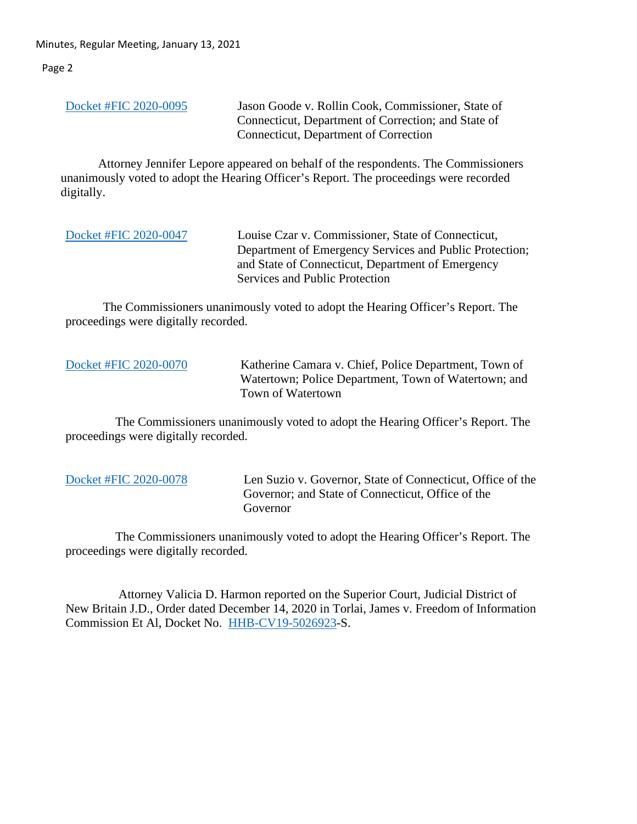Minutes, Regular Meeting, January 13, 2021

Page 2

| Docket #FIC 2020-0095 | Jason Goode v. Rollin Cook, Commissioner, State of<br>Connecticut, Department of Correction; and State of |
|-----------------------|-----------------------------------------------------------------------------------------------------------|
|                       | Connecticut, Department of Correction                                                                     |

 Attorney Jennifer Lepore appeared on behalf of the respondents. The Commissioners unanimously voted to adopt the Hearing Officer's Report. The proceedings were recorded digitally.

[Docket #FIC 2020-0047](https://portal.ct.gov/-/media/FOI/FinalDecisions/2021/Jan13/2020-0047.pdf) Louise Czar v. Commissioner, State of Connecticut, Department of Emergency Services and Public Protection; and State of Connecticut, Department of Emergency Services and Public Protection

The Commissioners unanimously voted to adopt the Hearing Officer's Report. The proceedings were digitally recorded.

[Docket #FIC 2020-0070](https://portal.ct.gov/-/media/FOI/FinalDecisions/2021/Jan13/2020-0070.pdf) Katherine Camara v. Chief, Police Department, Town of Watertown; Police Department, Town of Watertown; and Town of Watertown

 The Commissioners unanimously voted to adopt the Hearing Officer's Report. The proceedings were digitally recorded.

[Docket #FIC 2020-0078](https://portal.ct.gov/-/media/FOI/FinalDecisions/2021/Jan13/2020-0078.pdf) Len Suzio v. Governor, State of Connecticut, Office of the Governor; and State of Connecticut, Office of the Governor

 The Commissioners unanimously voted to adopt the Hearing Officer's Report. The proceedings were digitally recorded.

 Attorney Valicia D. Harmon reported on the Superior Court, Judicial District of New Britain J.D., Order dated December 14, 2020 in Torlai, James v. Freedom of Information Commission Et Al, Docket No. [HHB-CV19-5026923-](https://portal.ct.gov/-/media/FOI/CourtDecisions/CD2020/Torlai-Sanction-Decision-12-14-2020.pdf)S.